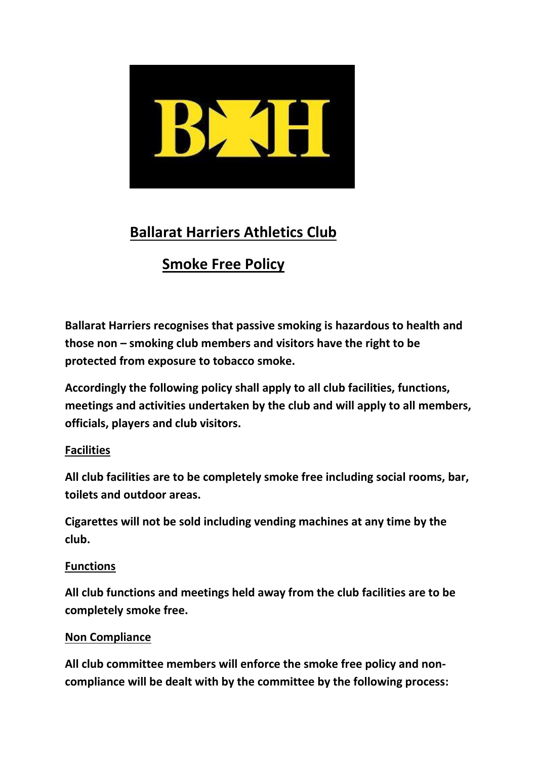

# **Ballarat Harriers Athletics Club**

# **Smoke Free Policy**

**Ballarat Harriers recognises that passive smoking is hazardous to health and those non – smoking club members and visitors have the right to be protected from exposure to tobacco smoke.**

**Accordingly the following policy shall apply to all club facilities, functions, meetings and activities undertaken by the club and will apply to all members, officials, players and club visitors.**

## **Facilities**

**All club facilities are to be completely smoke free including social rooms, bar, toilets and outdoor areas.**

**Cigarettes will not be sold including vending machines at any time by the club.**

### **Functions**

**All club functions and meetings held away from the club facilities are to be completely smoke free.** 

### **Non Compliance**

**All club committee members will enforce the smoke free policy and noncompliance will be dealt with by the committee by the following process:**